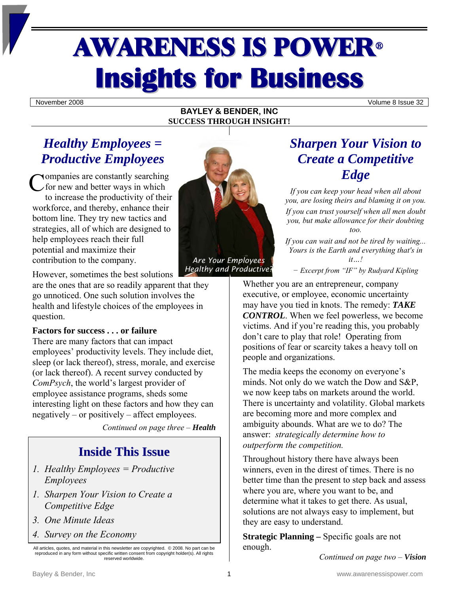# AWARENESS IS POWER<sup>ü</sup> **Insights for Business**

November 2008 Volume 8 Issue 32

#### **BAYLEY & BENDER, INC SUCCESS THROUGH INSIGHT!**

# *Healthy Employees = Productive Employees*

Companies are constantly searching<br>
for new and better ways in which for new and better ways in which to increase the productivity of their workforce, and thereby, enhance their bottom line. They try new tactics and strategies, all of which are designed to help employees reach their full potential and maximize their contribution to the company.

However, sometimes the best solutions

are the ones that are so readily apparent that they go unnoticed. One such solution involves the health and lifestyle choices of the employees in question.

#### **Factors for success . . . or failure**

There are many factors that can impact employees' productivity levels. They include diet, sleep (or lack thereof), stress, morale, and exercise (or lack thereof). A recent survey conducted by *ComPsych*, the world's largest provider of employee assistance programs, sheds some interesting light on these factors and how they can negatively – or positively – affect employees.

*Continued on page three – Health*

# **Inside This Issue**

- *1. Healthy Employees = Productive Employees*
- *1. Sharpen Your Vision to Create a Competitive Edge*
- *3. One Minute Ideas*
- *4. Survey on the Economy*

All articles, quotes, and material in this newsletter are copyrighted. © 2008. No part can be reproduced in any form without specific written consent from copyright holder(s). All rights reserved worldwide.



*Healthy and Productive?*

## *Sharpen Your Vision to Create a Competitive Edge*

*If you can keep your head when all about you, are losing theirs and blaming it on you. If you can trust yourself when all men doubt you, but make allowance for their doubting too.* 

*If you can wait and not be tired by waiting... Yours is the Earth and everything that's in it…!* 

*− Excerpt from "IF" by Rudyard Kipling* 

Whether you are an entrepreneur, company executive, or employee, economic uncertainty may have you tied in knots. The remedy: *TAKE CONTROL*. When we feel powerless, we become victims. And if you're reading this, you probably don't care to play that role! Operating from positions of fear or scarcity takes a heavy toll on people and organizations.

The media keeps the economy on everyone's minds. Not only do we watch the Dow and S&P, we now keep tabs on markets around the world. There is uncertainty and volatility. Global markets are becoming more and more complex and ambiguity abounds. What are we to do? The answer: *strategically determine how to outperform the competition.*

Throughout history there have always been winners, even in the direst of times. There is no better time than the present to step back and assess where you are, where you want to be, and determine what it takes to get there. As usual, solutions are not always easy to implement, but they are easy to understand.

**Strategic Planning –** Specific goals are not enough.

*Continued on page two – Vision*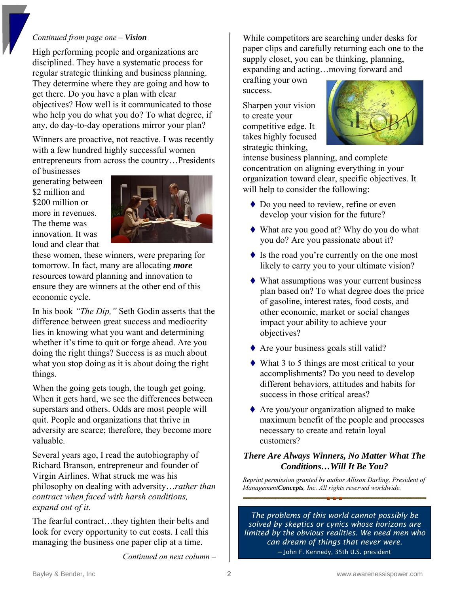#### *Continued from page one – Vision*

High performing people and organizations are disciplined. They have a systematic process for regular strategic thinking and business planning. They determine where they are going and how to get there. Do you have a plan with clear objectives? How well is it communicated to those who help you do what you do? To what degree, if any, do day-to-day operations mirror your plan?

Winners are proactive, not reactive. I was recently with a few hundred highly successful women entrepreneurs from across the country…Presidents of businesses

generating between \$2 million and \$200 million or more in revenues. The theme was innovation. It was loud and clear that



these women, these winners, were preparing for tomorrow. In fact, many are allocating *more* resources toward planning and innovation to ensure they are winners at the other end of this economic cycle.

In his book *"The Dip,"* Seth Godin asserts that the difference between great success and mediocrity lies in knowing what you want and determining whether it's time to quit or forge ahead. Are you doing the right things? Success is as much about what you stop doing as it is about doing the right things.

When the going gets tough, the tough get going. When it gets hard, we see the differences between superstars and others. Odds are most people will quit. People and organizations that thrive in adversity are scarce; therefore, they become more valuable.

Several years ago, I read the autobiography of Richard Branson, entrepreneur and founder of Virgin Airlines. What struck me was his philosophy on dealing with adversity…*rather than contract when faced with harsh conditions, expand out of it.* 

The fearful contract…they tighten their belts and look for every opportunity to cut costs. I call this managing the business one paper clip at a time.

*Continued on next column –* 

While competitors are searching under desks for paper clips and carefully returning each one to the supply closet, you can be thinking, planning, expanding and acting…moving forward and

crafting your own success.

Sharpen your vision to create your competitive edge. It takes highly focused strategic thinking,



intense business planning, and complete concentration on aligning everything in your organization toward clear, specific objectives. It will help to consider the following:

- ◆ Do you need to review, refine or even develop your vision for the future?
- What are you good at? Why do you do what you do? Are you passionate about it?
- $\blacklozenge$  Is the road you're currently on the one most likely to carry you to your ultimate vision?
- What assumptions was your current business plan based on? To what degree does the price of gasoline, interest rates, food costs, and other economic, market or social changes impact your ability to achieve your objectives?
- ◆ Are your business goals still valid?
- What 3 to 5 things are most critical to your accomplishments? Do you need to develop different behaviors, attitudes and habits for success in those critical areas?
- $\triangle$  Are you/your organization aligned to make maximum benefit of the people and processes necessary to create and retain loyal customers?

#### *There Are Always Winners, No Matter What The Conditions…Will It Be You?*

*Reprint permission granted by author Allison Darling, President of ManagementConcepts, Inc. All rights reserved worldwide.*

*The problems of this world cannot possibly be solved by skeptics or cynics whose horizons are limited by the obvious realities. We need men who can dream of things that never were.*  ─ John F. Kennedy, 35th U.S. president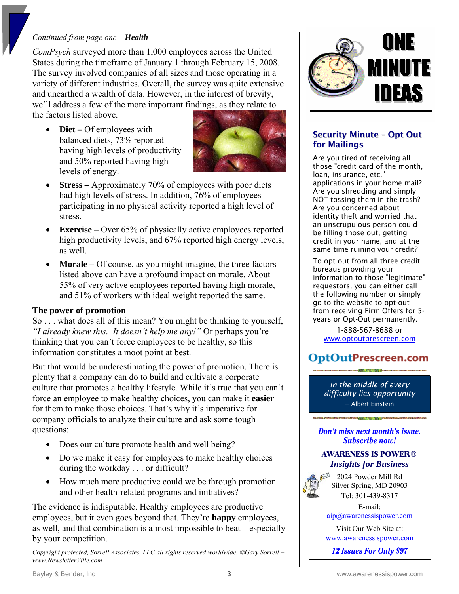#### *Continued from page one – Health*

*ComPsych* surveyed more than 1,000 employees across the United States during the timeframe of January 1 through February 15, 2008. The survey involved companies of all sizes and those operating in a variety of different industries. Overall, the survey was quite extensive and unearthed a wealth of data. However, in the interest of brevity, we'll address a few of the more important findings, as they relate to

the factors listed above.

• **Diet** – Of employees with balanced diets, 73% reported having high levels of productivity and 50% reported having high levels of energy.



- **Stress** Approximately 70% of employees with poor diets had high levels of stress. In addition, 76% of employees participating in no physical activity reported a high level of stress.
- **Exercise** Over 65% of physically active employees reported high productivity levels, and 67% reported high energy levels, as well.
- **Morale** Of course, as you might imagine, the three factors listed above can have a profound impact on morale. About 55% of very active employees reported having high morale, and 51% of workers with ideal weight reported the same.

#### **The power of promotion**

So . . . what does all of this mean? You might be thinking to yourself, *"I already knew this. It doesn't help me any!"* Or perhaps you're thinking that you can't force employees to be healthy, so this information constitutes a moot point at best.

But that would be underestimating the power of promotion. There is plenty that a company can do to build and cultivate a corporate culture that promotes a healthy lifestyle. While it's true that you can't force an employee to make healthy choices, you can make it **easier** for them to make those choices. That's why it's imperative for company officials to analyze their culture and ask some tough questions:

- Does our culture promote health and well being?
- Do we make it easy for employees to make healthy choices during the workday . . . or difficult?
- How much more productive could we be through promotion and other health-related programs and initiatives?

The evidence is indisputable. Healthy employees are productive employees, but it even goes beyond that. They're **happy** employees, as well, and that combination is almost impossible to beat – especially by your competition.

*Copyright protected, Sorrell Associates, LLC all rights reserved worldwide. ©Gary Sorrell – www.NewsletterVille.com* 



#### Security Minute – Opt Out for Mailings

Are you tired of receiving all those "credit card of the month, loan, insurance, etc." applications in your home mail? Are you shredding and simply NOT tossing them in the trash? Are you concerned about identity theft and worried that an unscrupulous person could be filling those out, getting credit in your name, and at the same time ruining your credit?

To opt out from all three credit bureaus providing your information to those "legitimate" requestors, you can either call the following number or simply go to the website to opt-out from receiving Firm Offers for 5 years or Opt-Out permanently.

1-888-567-8688 or <www.optoutprescreen.com>

## OptOutPrescreen.com

*In the middle of every difficulty lies opportunity* ─ Albert Einstein

Don't miss next month's issue. **Subscribe now!** 

#### **AWARENESS IS POWER®** *Insights for Business*



2024 Powder Mill Rd Silver Spring, MD 20903 Tel: 301-439-8317

E-mail: [aip@awarenessispower.com](mailto:aip@awarenessispower.com)

Visit Our Web Site at: [www.awarenessispower.com](http://www.awarenessispower.com/)

12 **Issues For Only \$97**